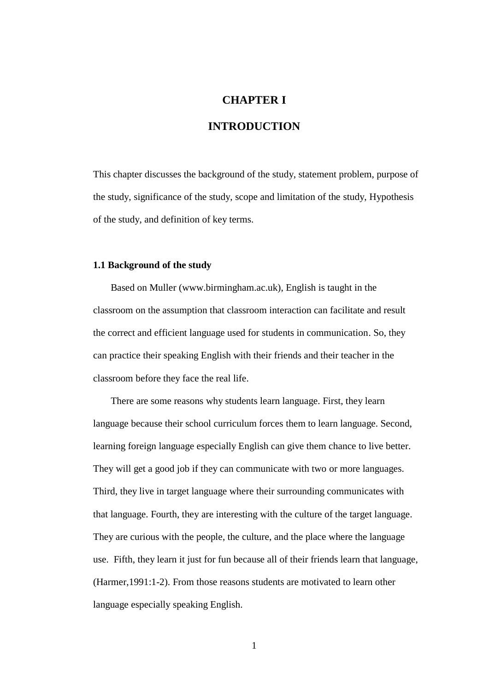# **CHAPTER I**

# **INTRODUCTION**

This chapter discusses the background of the study, statement problem, purpose of the study, significance of the study, scope and limitation of the study, Hypothesis of the study, and definition of key terms.

### **1.1 Background of the study**

Based on Muller (www.birmingham.ac.uk), English is taught in the classroom on the assumption that classroom interaction can facilitate and result the correct and efficient language used for students in communication. So, they can practice their speaking English with their friends and their teacher in the classroom before they face the real life.

There are some reasons why students learn language. First, they learn language because their school curriculum forces them to learn language. Second, learning foreign language especially English can give them chance to live better. They will get a good job if they can communicate with two or more languages. Third, they live in target language where their surrounding communicates with that language. Fourth, they are interesting with the culture of the target language. They are curious with the people, the culture, and the place where the language use. Fifth, they learn it just for fun because all of their friends learn that language, (Harmer,1991:1-2). From those reasons students are motivated to learn other language especially speaking English.

1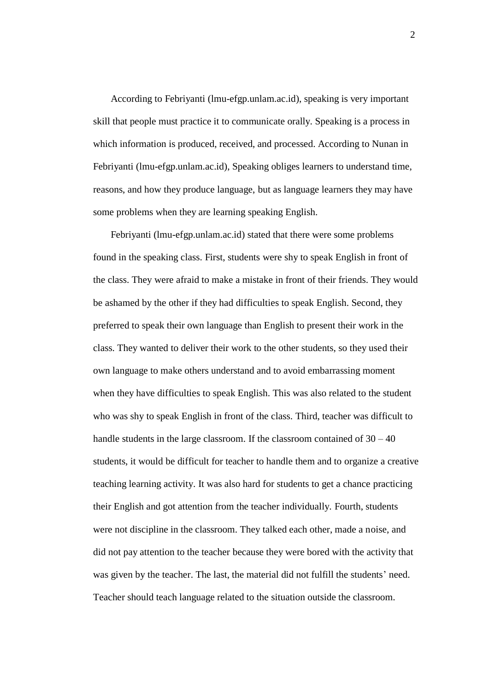According to Febriyanti (lmu-efgp.unlam.ac.id), speaking is very important skill that people must practice it to communicate orally. Speaking is a process in which information is produced, received, and processed. According to Nunan in Febriyanti (lmu-efgp.unlam.ac.id), Speaking obliges learners to understand time, reasons, and how they produce language, but as language learners they may have some problems when they are learning speaking English.

Febriyanti (lmu-efgp.unlam.ac.id) stated that there were some problems found in the speaking class. First, students were shy to speak English in front of the class. They were afraid to make a mistake in front of their friends. They would be ashamed by the other if they had difficulties to speak English. Second, they preferred to speak their own language than English to present their work in the class. They wanted to deliver their work to the other students, so they used their own language to make others understand and to avoid embarrassing moment when they have difficulties to speak English. This was also related to the student who was shy to speak English in front of the class. Third, teacher was difficult to handle students in the large classroom. If the classroom contained of  $30 - 40$ students, it would be difficult for teacher to handle them and to organize a creative teaching learning activity. It was also hard for students to get a chance practicing their English and got attention from the teacher individually. Fourth, students were not discipline in the classroom. They talked each other, made a noise, and did not pay attention to the teacher because they were bored with the activity that was given by the teacher. The last, the material did not fulfill the students' need. Teacher should teach language related to the situation outside the classroom.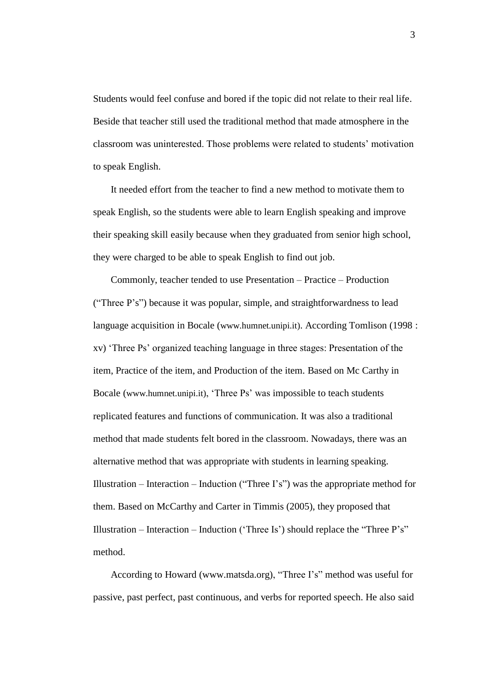Students would feel confuse and bored if the topic did not relate to their real life. Beside that teacher still used the traditional method that made atmosphere in the classroom was uninterested. Those problems were related to students" motivation to speak English.

It needed effort from the teacher to find a new method to motivate them to speak English, so the students were able to learn English speaking and improve their speaking skill easily because when they graduated from senior high school, they were charged to be able to speak English to find out job.

Commonly, teacher tended to use Presentation – Practice – Production ("Three P"s") because it was popular, simple, and straightforwardness to lead language acquisition in Bocale (www.humnet.unipi.it). According Tomlison (1998 : xv) "Three Ps" organized teaching language in three stages: Presentation of the item, Practice of the item, and Production of the item. Based on Mc Carthy in Bocale (www.humnet.unipi.it), 'Three Ps' was impossible to teach students replicated features and functions of communication. It was also a traditional method that made students felt bored in the classroom. Nowadays, there was an alternative method that was appropriate with students in learning speaking. Illustration – Interaction – Induction ("Three I's") was the appropriate method for them. Based on McCarthy and Carter in Timmis (2005), they proposed that Illustration – Interaction – Induction ('Three Is') should replace the "Three  $P's$ " method.

According to Howard (www.matsda.org), "Three I"s" method was useful for passive, past perfect, past continuous, and verbs for reported speech. He also said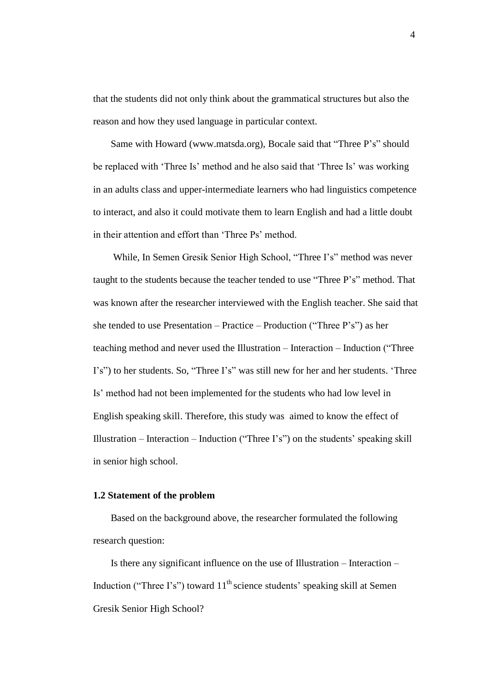that the students did not only think about the grammatical structures but also the reason and how they used language in particular context.

Same with Howard (www.matsda.org), Bocale said that "Three P"s" should be replaced with 'Three Is' method and he also said that 'Three Is' was working in an adults class and upper-intermediate learners who had linguistics competence to interact, and also it could motivate them to learn English and had a little doubt in their attention and effort than 'Three Ps' method.

While, In Semen Gresik Senior High School, "Three I's" method was never taught to the students because the teacher tended to use "Three P"s" method. That was known after the researcher interviewed with the English teacher. She said that she tended to use Presentation – Practice – Production ("Three  $P's$ ") as her teaching method and never used the Illustration – Interaction – Induction ("Three I's") to her students. So, "Three I's" was still new for her and her students. 'Three Is" method had not been implemented for the students who had low level in English speaking skill. Therefore, this study was aimed to know the effect of Illustration – Interaction – Induction ("Three I's") on the students' speaking skill in senior high school.

#### **1.2 Statement of the problem**

Based on the background above, the researcher formulated the following research question:

Is there any significant influence on the use of Illustration – Interaction – Induction ("Three I's") toward  $11<sup>th</sup>$  science students' speaking skill at Semen Gresik Senior High School?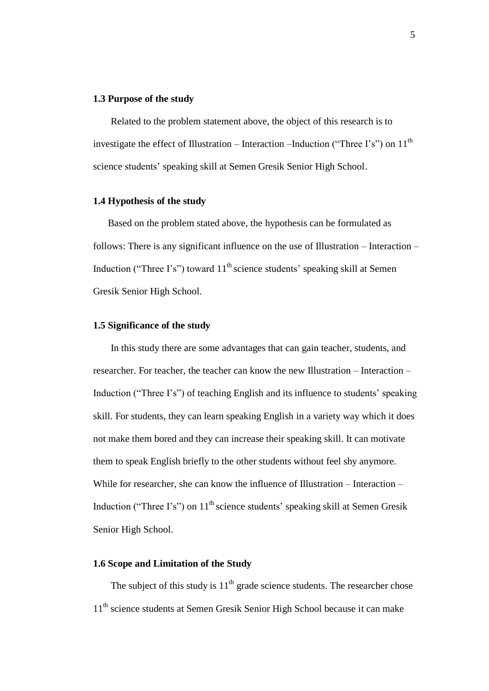#### **1.3 Purpose of the study**

Related to the problem statement above, the object of this research is to investigate the effect of Illustration – Interaction –Induction ("Three I's") on  $11<sup>th</sup>$ science students" speaking skill at Semen Gresik Senior High School.

#### **1.4 Hypothesis of the study**

Based on the problem stated above, the hypothesis can be formulated as follows: There is any significant influence on the use of Illustration – Interaction – Induction ("Three I's") toward  $11<sup>th</sup>$  science students' speaking skill at Semen Gresik Senior High School.

#### **1.5 Significance of the study**

In this study there are some advantages that can gain teacher, students, and researcher. For teacher, the teacher can know the new Illustration – Interaction – Induction ("Three I's") of teaching English and its influence to students' speaking skill. For students, they can learn speaking English in a variety way which it does not make them bored and they can increase their speaking skill. It can motivate them to speak English briefly to the other students without feel shy anymore. While for researcher, she can know the influence of Illustration – Interaction – Induction ("Three I's") on  $11<sup>th</sup>$  science students' speaking skill at Semen Gresik Senior High School.

### **1.6 Scope and Limitation of the Study**

The subject of this study is  $11<sup>th</sup>$  grade science students. The researcher chose 11<sup>th</sup> science students at Semen Gresik Senior High School because it can make